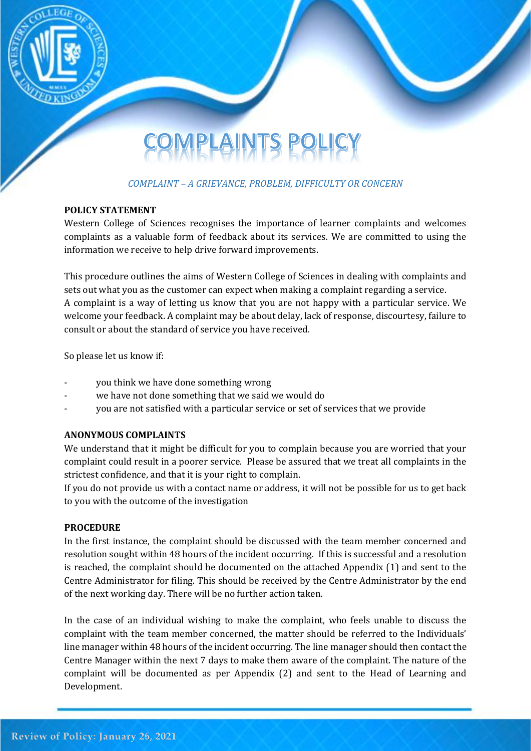

# PLAINTS P

## *COMPLAINT – A GRIEVANCE, PROBLEM, DIFFICULTY OR CONCERN*

#### **POLICY STATEMENT**

Western College of Sciences recognises the importance of learner complaints and welcomes complaints as a valuable form of feedback about its services. We are committed to using the information we receive to help drive forward improvements.

This procedure outlines the aims of Western College of Sciences in dealing with complaints and sets out what you as the customer can expect when making a complaint regarding a service. A complaint is a way of letting us know that you are not happy with a particular service. We welcome your feedback. A complaint may be about delay, lack of response, discourtesy, failure to consult or about the standard of service you have received.

So please let us know if:

- you think we have done something wrong
- we have not done something that we said we would do
- you are not satisfied with a particular service or set of services that we provide

#### **ANONYMOUS COMPLAINTS**

We understand that it might be difficult for you to complain because you are worried that your complaint could result in a poorer service. Please be assured that we treat all complaints in the strictest confidence, and that it is your right to complain.

If you do not provide us with a contact name or address, it will not be possible for us to get back to you with the outcome of the investigation

#### **PROCEDURE**

In the first instance, the complaint should be discussed with the team member concerned and resolution sought within 48 hours of the incident occurring. If this is successful and a resolution is reached, the complaint should be documented on the attached Appendix (1) and sent to the Centre Administrator for filing. This should be received by the Centre Administrator by the end of the next working day. There will be no further action taken.

In the case of an individual wishing to make the complaint, who feels unable to discuss the complaint with the team member concerned, the matter should be referred to the Individuals' line manager within 48 hours of the incident occurring. The line manager should then contact the Centre Manager within the next 7 days to make them aware of the complaint. The nature of the complaint will be documented as per Appendix (2) and sent to the Head of Learning and Development.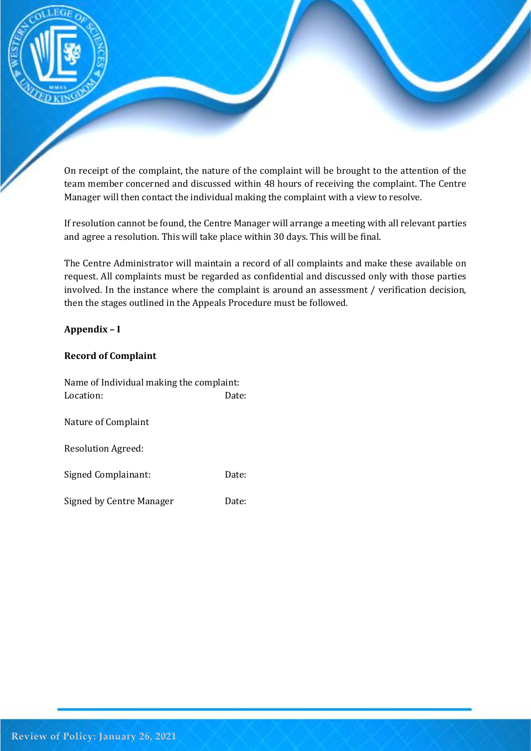

On receipt of the complaint, the nature of the complaint will be brought to the attention of the team member concerned and discussed within 48 hours of receiving the complaint. The Centre Manager will then contact the individual making the complaint with a view to resolve.

If resolution cannot be found, the Centre Manager will arrange a meeting with all relevant parties and agree a resolution. This will take place within 30 days. This will be final.

The Centre Administrator will maintain a record of all complaints and make these available on request. All complaints must be regarded as confidential and discussed only with those parties involved. In the instance where the complaint is around an assessment / verification decision, then the stages outlined in the Appeals Procedure must be followed.

### **Appendix – I**

#### **Record of Complaint**

| Name of Individual making the complaint: |       |
|------------------------------------------|-------|
| Location:                                | Date: |
| Nature of Complaint                      |       |
| <b>Resolution Agreed:</b>                |       |
| Signed Complainant:                      | Date: |
| Signed by Centre Manager                 | Date: |